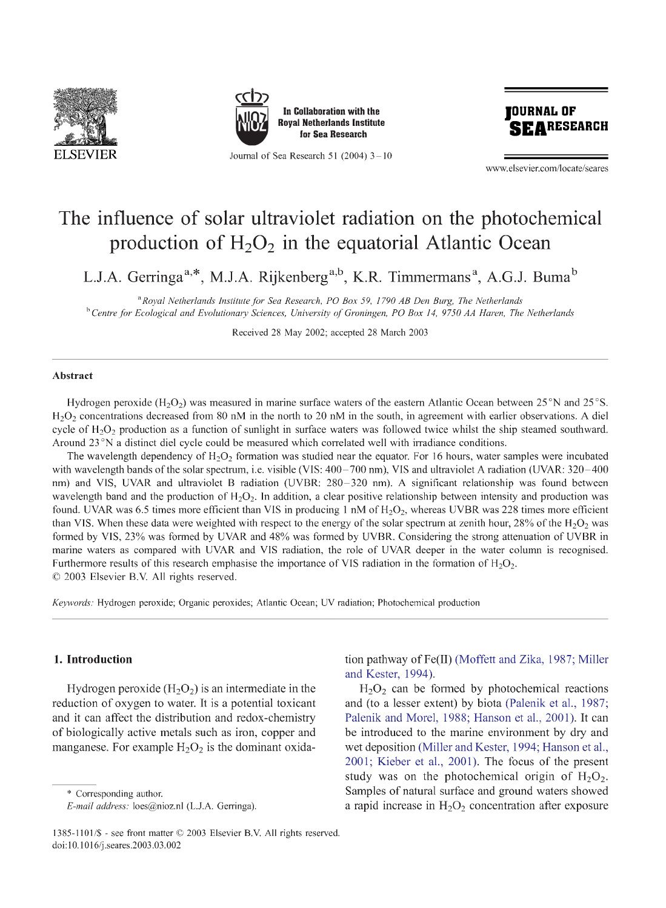



**Journal of Sea Research 51 (2004) 3-10** 



**www. elsevier. com/locate/seares**

# The influence of solar ultraviolet radiation on the photochemical production of  $H_2O_2$  in the equatorial Atlantic Ocean

L.J.A. Gerringa<sup>a,\*</sup>, M.J.A. Rijkenberg<sup>a,b</sup>, K.R. Timmermans<sup>a</sup>, A.G.J. Buma<sup>b</sup>

*aRoyal Netherlands Institute for Sea Research, PO Box 59, 1790 AB Den Burg, The Netherlands* <sup>b</sup> Centre for Ecological and Evolutionary Sciences, University of Groningen, PO Box 14, 9750 AA Haren, The Netherlands

**Received 28 May 2002; accepted 28 March 2003**

#### **Abstract**

Hydrogen peroxide (H<sub>2</sub>O<sub>2</sub>) was measured in marine surface waters of the eastern Atlantic Ocean between 25<sup>°</sup>N and 25<sup>°</sup>S.  $H<sub>2</sub>O<sub>2</sub>$  concentrations decreased from 80 nM in the north to 20 nM in the south, in agreement with earlier observations. A diel cycle of  $H_2O_2$  production as a function of sunlight in surface waters was followed twice whilst the ship steamed southward. Around 23 °N a distinct diel cycle could be measured which correlated well with irradiance conditions.

The wavelength dependency of  $H_2O_2$  formation was studied near the equator. For 16 hours, water samples were incubated with wavelength bands of the solar spectrum, i.e. visible (VIS: 400–700 nm), VIS and ultraviolet A radiation (UVAR: 320–400 nm) and VIS, UVAR and ultraviolet B radiation (UVBR: 280-320 nm). A significant relationship was found between wavelength band and the production of  $H_2O_2$ . In addition, a clear positive relationship between intensity and production was found. UVAR was 6.5 times more efficient than VIS in producing 1 nM of  $H_2O_2$ , whereas UVBR was 228 times more efficient than VIS. When these data were weighted with respect to the energy of the solar spectrum at zenith hour, 28% of the  $H_2O_2$  was formed by VIS, 23% was formed by UVAR and 48% was formed by UVBR. Considering the strong attenuation of UVBR in marine waters as compared with UVAR and VIS radiation, the role of UVAR deeper in the water column is recognised. Furthermore results of this research emphasise the importance of VIS radiation in the formation of  $H_2O_2$ . © 2003 Elsevier B.V. All rights reserved.

*Keywords:* **Hydrogen peroxide; Organic peroxides; Atlantic Ocean; UV radiation; Photochemical production**

## **1. Introduction**

Hydrogen peroxide  $(H<sub>2</sub>O<sub>2</sub>)$  is an intermediate in the reduction of oxygen to water. It is a potential toxicant and it can affect the distribution and redox-chemistry of biologically active metals such as iron, copper and manganese. For example  $H_2O_2$  is the dominant oxida-

**\* Corresponding author.**

tion pathway of Fe(II) (Moffett and Zika, 1987; Miller and Kester, 1994).

 $H<sub>2</sub>O<sub>2</sub>$  can be formed by photochemical reactions and (to a lesser extent) by biota (Palenik et al., 1987; Palenik and Morel, 1988; Hanson et al., 2001). It can be introduced to the marine environment by dry and wet deposition (Miller and Kester, 1994; Hanson et al., 2001; Kieber et al., 2001). The focus of the present study was on the photochemical origin of  $H_2O_2$ . Samples of natural surface and ground waters showed a rapid increase in  $H_2O_2$  concentration after exposure

*E-mail address:* **[loes@nioz.nl](mailto:loes@nioz.nl) (L.J.A. Gerringa).**

**<sup>1385-1101/\$ -</sup> see front matter © 2003 Elsevier B.V. All rights reserved, doi: 10.1016/j. seares .2003.03.002**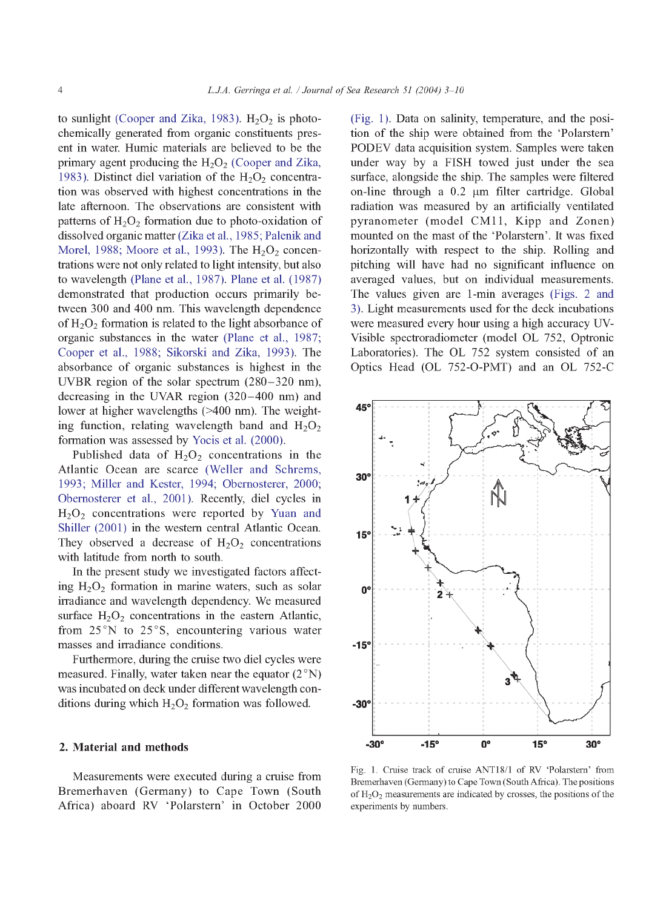to sunlight (Cooper and Zika, 1983).  $H_2O_2$  is photochemically generated from organic constituents present in water. Humic materials are believed to be the primary agent producing the  $H_2O_2$  (Cooper and Zika, 1983). Distinct diel variation of the  $H<sub>2</sub>O<sub>2</sub>$  concentration was observed with highest concentrations in the late afternoon. The observations are consistent with patterns of  $H_2O_2$  formation due to photo-oxidation of dissolved organic matter (Zika et al., 1985; Palenik and Morel, 1988; Moore et al., 1993). The  $H<sub>2</sub>O<sub>2</sub>$  concentrations were not only related to light intensity, but also to wavelength (Plane et al., 1987). Plane et al. (1987) demonstrated that production occurs primarily between 300 and 400 nm. This wavelength dependence of  $H_2O_2$  formation is related to the light absorbance of organic substances in the water (Plane et al., 1987; Cooper et al., 1988; Sikorski and Zika, 1993). The absorbance of organic substances is highest in the UVBR region of the solar spectrum (280-320 nm), decreasing in the UVAR region (320-400 nm) and lower at higher wavelengths (>400 nm). The weighting function, relating wavelength band and  $H_2O_2$ formation was assessed by Yocis et al. (2000).

Published data of  $H_2O_2$  concentrations in the Atlantic Ocean are scarce (Weller and Schrems, 1993; Miller and Rester, 1994; Obemosterer, 2000; Obemosterer et al., 2001). Recently, diel cycles in  $H<sub>2</sub>O<sub>2</sub>$  concentrations were reported by Yuan and Shiller (2001) in the western central Atlantic Ocean. They observed a decrease of  $H_2O_2$  concentrations with latitude from north to south.

In the present study we investigated factors affecting  $H_2O_2$  formation in marine waters, such as solar irradiance and wavelength dependency. We measured surface  $H_2O_2$  concentrations in the eastern Atlantic, from 25°N to 25°S, encountering various water masses and irradiance conditions.

Furthermore, during the cruise two diel cycles were measured. Finally, water taken near the equator  $(2°N)$ was incubated on deck under different wavelength conditions during which  $H_2O_2$  formation was followed.

#### **2. Material and methods**

Measurements were executed during a cruise from Bremerhaven (Germany) to Cape Town (South Africa) aboard RV 'Polarstern' in October 2000 (Fig. 1). Data on salinity, temperature, and the position of the ship were obtained from the 'Polarstem' PODEV data acquisition system. Samples were taken under way by a FISH towed just under the sea surface, alongside the ship. The samples were filtered on-line through a  $0.2 \mu m$  filter cartridge. Global radiation was measured by an artificially ventilated pyranometer (model CM11, Kipp and Zonen) mounted on the mast of the 'Polarstem'. It was fixed horizontally with respect to the ship. Rolling and pitching will have had no significant influence on averaged values, but on individual measurements. The values given are 1-min averages (Figs. 2 and 3). Light measurements used for the deck incubations were measured every hour using a high accuracy UV-Visible spectroradiometer (model OL 752, Optronic Laboratories). The OL 752 system consisted of an Optics Head (OL 752-O-PMT) and an OL 752-C



Fig. 1. Cruise track of cruise ANTI8/1 of RV 'Polarstem' from Bremerhaven (Germany) to Cape Town (South Africa). The positions of  $H_2O_2$  measurements are indicated by crosses, the positions of the experiments by numbers.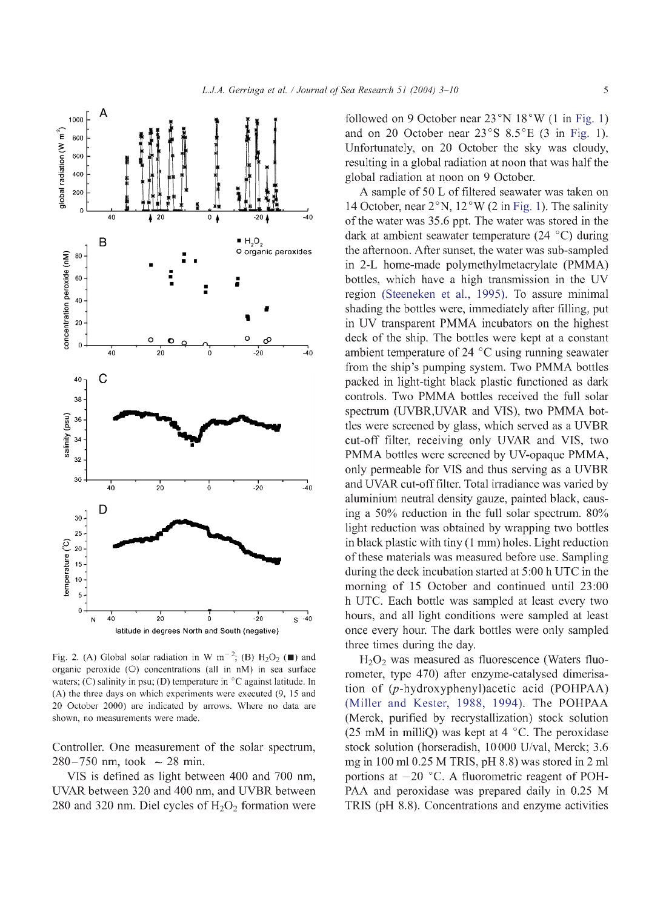

Fig. 2. (A) Global solar radiation in W  $m^{-2}$ ; (B) H<sub>2</sub>O<sub>2</sub> ( $\blacksquare$ ) and **organic peroxide (O) concentrations (all in nM) in sea surface waters; (C) salinity in psu; (D) temperature in °C against latitude. In (A) the three days on which experiments were executed (9, 15 and 20 October 2000) are indicated by arrows. Where no data are shown, no measurements were made.**

Controller. One measurement of the solar spectrum,  $280 - 750$  nm, took  $\sim 28$  min.

VIS is defined as light between 400 and 700 nm, UVAR between 320 and 400 nm, and UVBR between 280 and 320 nm. Diel cycles of  $H_2O_2$  formation were

followed on 9 October near 23°N 18°W (1 in Fig. 1) and on 20 October near 23°S 8.5°E (3 in Fig. 1). Unfortunately, on 20 October the sky was cloudy, resulting in a global radiation at noon that was half the global radiation at noon on 9 October.

A sample of 50 L of filtered seawater was taken on 14 October, near  $2^{\circ}$ N, 12°W (2 in Fig. 1). The salinity of the water was 35.6 ppt. The water was stored in the dark at ambient seawater temperature (24 °C) during the afternoon. After sunset, the water was sub-sampled in 2-L home-made polymethylmetacrylate (PMMA) bottles, which have a high transmission in the UV region (Steeneken et al., 1995). To assure minimal shading the bottles were, immediately after filling, put in UV transparent PMMA incubators on the highest deck of the ship. The bottles were kept at a constant ambient temperature of 24 °C using running seawater from the ship's pumping system. Two PMMA bottles packed in light-tight black plastic functioned as dark controls. Two PMMA bottles received the full solar spectrum (UVBR,UVAR and VIS), two PMMA bottles were screened by glass, which served as a UVBR cut-off filter, receiving only UVAR and VIS, two PMMA bottles were screened by UV-opaque PMMA, only permeable for VIS and thus serving as a UVBR and UVAR cut-off filter. Total irradiance was varied by aluminium neutral density gauze, painted black, causing a 50% reduction in the full solar spectrum. 80% light reduction was obtained by wrapping two bottles in black plastic with tiny (1 mm) holes. Light reduction of these materials was measured before use. Sampling during the deck incubation started at 5:00 h UTC in the morning of 15 October and continued until 23:00 h UTC. Each bottle was sampled at least every two hours, and all light conditions were sampled at least once every hour. The dark bottles were only sampled three times during the day.

 $H<sub>2</sub>O<sub>2</sub>$  was measured as fluorescence (Waters fluorometer, type 470) after enzyme-catalysed dimerisation of (p-hydroxyphenyl)acetic acid (POHPAA) (Miller and Rester, 1988, 1994). The POHPAA (Merck, purified by recrystallization) stock solution (25 mM in milliQ) was kept at  $4 \degree C$ . The peroxidase stock solution (horseradish, 10000 U/val, Merck; 3.6 mg in 100 ml 0.25 M TRIS, pH 8.8) was stored in 2 ml portions at  $-20$  °C. A fluorometric reagent of POH-PAA and peroxidase was prepared daily in 0.25 M TRIS (pH 8.8). Concentrations and enzyme activities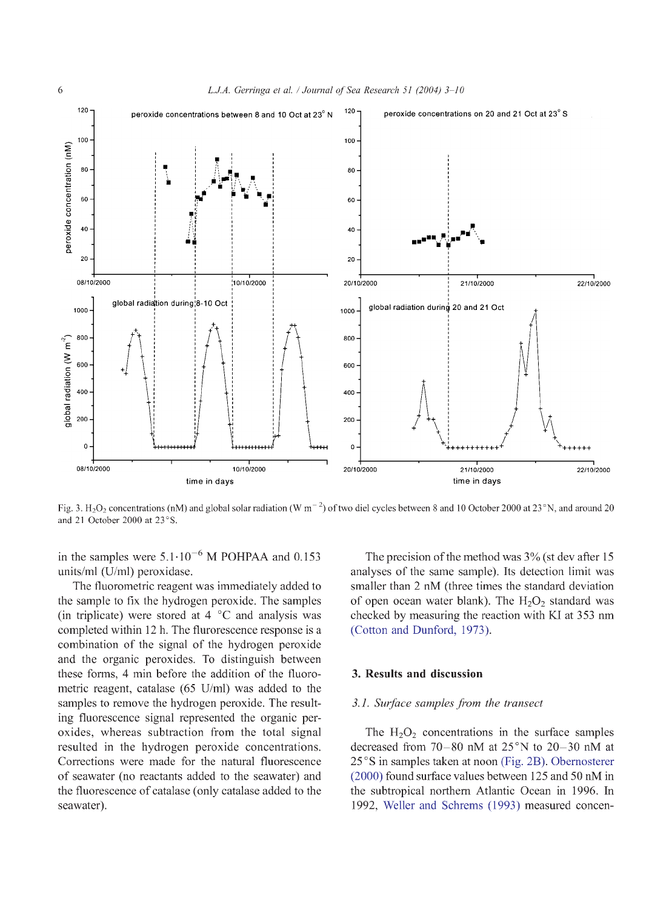

Fig. 3. H<sub>2</sub>O<sub>2</sub> concentrations (nM) and global solar radiation (W m<sup>-2</sup>) of two diel cycles between 8 and 10 October 2000 at 23<sup>°</sup>N, and around 20 **and 21 October 2000 at 23°S.**

in the samples were  $5.1 \cdot 10^{-6}$  M POHPAA and 0.153 units/ml (U/ml) peroxidase.

The fluorometric reagent was immediately added to the sample to fix the hydrogen peroxide. The samples (in triplicate) were stored at  $4 \degree C$  and analysis was completed within 12 h. The flurorescence response is a combination of the signal of the hydrogen peroxide and the organic peroxides. To distinguish between these forms, 4 min before the addition of the fluorometric reagent, catalase (65 U/ml) was added to the samples to remove the hydrogen peroxide. The resulting fluorescence signal represented the organic peroxides, whereas subtraction from the total signal resulted in the hydrogen peroxide concentrations. Corrections were made for the natural fluorescence of seawater (no reactants added to the seawater) and the fluorescence of catalase (only catalase added to the seawater).

The precision of the method was 3% (st dev after 15 analyses of the same sample). Its detection limit was smaller than 2 nM (three times the standard deviation of open ocean water blank). The  $H_2O_2$  standard was checked by measuring the reaction with KI at 353 nm (Cotton and Dunford, 1973).

### **3. Results and discussion**

#### *3.1. Surface samples from the transect*

The  $H_2O_2$  concentrations in the surface samples decreased from 70-80 nM at 25°N to 20-30 nM at 25°S in samples taken at noon (Fig. 2B). Obemosterer (2000) found surface values between 125 and 50 nM in the subtropical northern Atlantic Ocean in 1996. In 1992, Weller and Schrems (1993) measured concen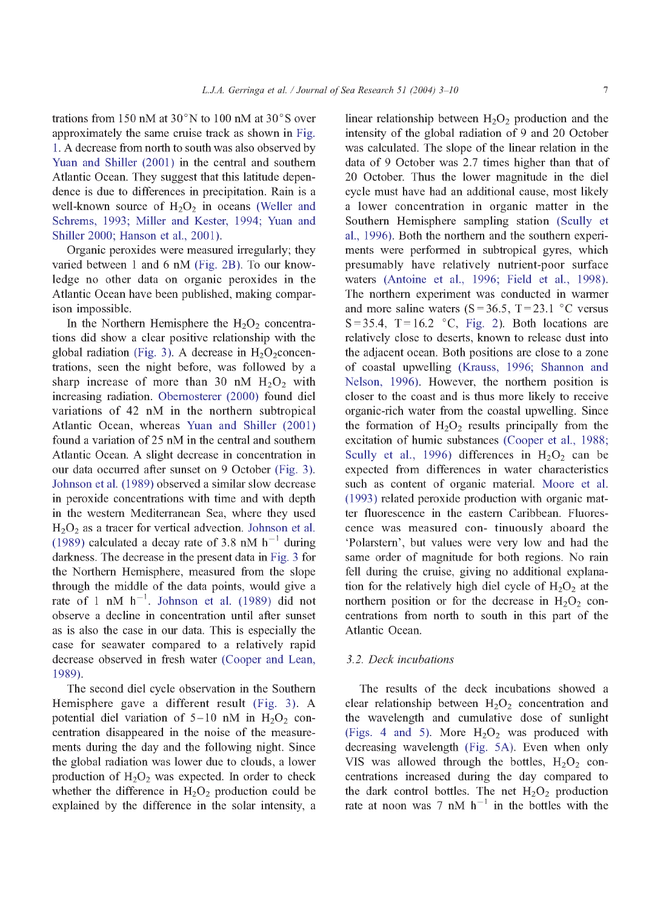trations from 150 nM at 30°N to 100 nM at 30°S over approximately the same cruise track as shown in Fig. 1. A decrease from north to south was also observed by Yuan and Shiller (2001) in the central and southern Atlantic Ocean. They suggest that this latitude dependence is due to differences in precipitation. Rain is a well-known source of  $H_2O_2$  in oceans (Weller and Schrems, 1993; Miller and Kester, 1994; Yuan and Shiller 2000; Hanson et al., 2001).

Organic peroxides were measured irregularly; they varied between 1 and 6 nM (Fig. 2B). To our knowledge no other data on organic peroxides in the Atlantic Ocean have been published, making comparison impossible.

In the Northern Hemisphere the  $H_2O_2$  concentrations did show a clear positive relationship with the global radiation (Fig. 3). A decrease in  $H_2O_2$ concentrations, seen the night before, was followed by a sharp increase of more than 30 nM  $H_2O_2$  with increasing radiation. Obemosterer (2000) found diel variations of 42 nM in the northern subtropical Atlantic Ocean, whereas Yuan and Shiller (2001) found a variation of 25 nM in the central and southern Atlantic Ocean. A slight decrease in concentration in our data occurred after sunset on 9 October (Fig. 3 ). Johnson et al. (1989) observed a similar slow decrease in peroxide concentrations with time and with depth in the western Mediterranean Sea, where they used  $H<sub>2</sub>O<sub>2</sub>$  as a tracer for vertical advection. Johnson et al. (1989) calculated a decay rate of 3.8 nM  $h^{-1}$  during darkness. The decrease in the present data in Fig. 3 for the Northern Hemisphere, measured from the slope through the middle of the data points, would give a rate of 1 nM  $h^{-1}$ . Johnson et al. (1989) did not observe a decline in concentration until after sunset as is also the case in our data. This is especially the case for seawater compared to a relatively rapid decrease observed in fresh water (Cooper and Lean, 1989).

The second diel cycle observation in the Southern Hemisphere gave a different result (Fig. 3). A potential diel variation of  $5-10$  nM in  $H_2O_2$  concentration disappeared in the noise of the measurements during the day and the following night. Since the global radiation was lower due to clouds, a lower production of  $H_2O_2$  was expected. In order to check whether the difference in  $H_2O_2$  production could be explained by the difference in the solar intensity, a

linear relationship between  $H_2O_2$  production and the intensity of the global radiation of 9 and 20 October was calculated. The slope of the linear relation in the data of 9 October was 2.7 times higher than that of 20 October. Thus the lower magnitude in the diel cycle must have had an additional cause, most likely a lower concentration in organic matter in the Southern Hemisphere sampling station (Scully et al., 1996). Both the northern and the southern experiments were performed in subtropical gyres, which presumably have relatively nutrient-poor surface waters (Antoine et al., 1996; Field et al., 1998). The northern experiment was conducted in warmer and more saline waters  $(S = 36.5, T = 23.1 \degree C$  versus  $S = 35.4$ ,  $T = 16.2$  °C, Fig. 2). Both locations are relatively close to deserts, known to release dust into the adjacent ocean. Both positions are close to a zone of coastal upwelling (Krauss, 1996; Shannon and Nelson, 1996). However, the northern position is closer to the coast and is thus more likely to receive organic-rich water from the coastal upwelling. Since the formation of  $H_2O_2$  results principally from the excitation of humic substances (Cooper et al., 1988; Scully et al., 1996) differences in  $H_2O_2$  can be expected from differences in water characteristics such as content of organic material. Moore et al. (1993 ) related peroxide production with organic matter fluorescence in the eastern Caribbean. Fluorescence was measured con- tinuously aboard the 'Polarstem', but values were very low and had the same order of magnitude for both regions. No rain fell during the cruise, giving no additional explanation for the relatively high diel cycle of  $H_2O_2$  at the northern position or for the decrease in  $H_2O_2$  concentrations from north to south in this part of the Atlantic Ocean.

## *3.2. Deck incubations*

The results of the deck incubations showed a clear relationship between  $H_2O_2$  concentration and the wavelength and cumulative dose of sunlight (Figs. 4 and 5). More  $H_2O_2$  was produced with decreasing wavelength (Fig. 5A). Even when only VIS was allowed through the bottles,  $H_2O_2$  concentrations increased during the day compared to the dark control bottles. The net  $H_2O_2$  production rate at noon was 7 nM  $h^{-1}$  in the bottles with the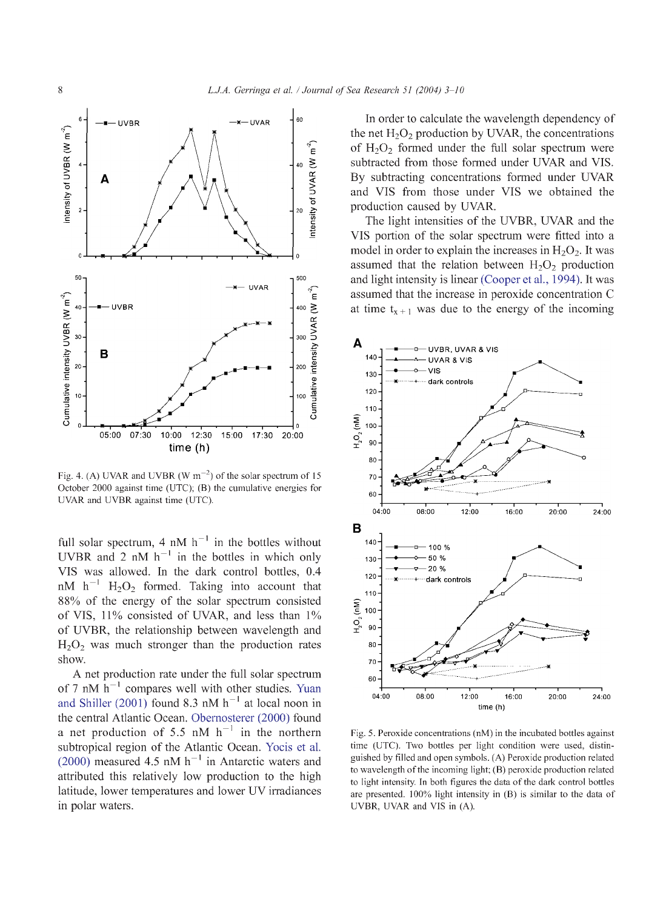

Fig. 4. (A) UVAR and UVBR (W  $m^{-2}$ ) of the solar spectrum of 15 **October 2000 against time (UTC); (B) the cumulative energies for UVAR and UVBR against time (UTC).**

full solar spectrum, 4 nM  $h^{-1}$  in the bottles without UVBR and 2 nM  $h^{-1}$  in the bottles in which only VIS was allowed. In the dark control bottles, 0.4  $nM$  h<sup>-1</sup> H<sub>2</sub>O<sub>2</sub> formed. Taking into account that 88% of the energy of the solar spectrum consisted of VIS, 11% consisted of UVAR, and less than 1% of UVBR, the relationship between wavelength and  $H<sub>2</sub>O<sub>2</sub>$  was much stronger than the production rates show.

A net production rate under the full solar spectrum of 7 nM  $h^{-1}$  compares well with other studies. Yuan and Shiller (2001) found 8.3 nM  $h^{-1}$  at local noon in the central Atlantic Ocean. Obemosterer (2000) found a net production of 5.5 nM  $h^{-1}$  in the northern subtropical region of the Atlantic Ocean. Yocis et al.  $(2000)$  measured 4.5 nM h<sup>-1</sup> in Antarctic waters and attributed this relatively low production to the high latitude, lower temperatures and lower UV irradiances in polar waters.

In order to calculate the wavelength dependency of the net  $H_2O_2$  production by UVAR, the concentrations of  $H_2O_2$  formed under the full solar spectrum were subtracted from those formed under UVAR and VIS. By subtracting concentrations formed under UVAR and VIS from those under VIS we obtained the production caused by UVAR.

The light intensities of the UVBR, UVAR and the VIS portion of the solar spectrum were fitted into a model in order to explain the increases in  $H_2O_2$ . It was assumed that the relation between  $H_2O_2$  production and light intensity is linear (Cooper et al., 1994). It was assumed that the increase in peroxide concentration C at time  $t_{x+1}$  was due to the energy of the incoming



**Fig. 5. Peroxide concentrations (nM) in the incubated bottles against time (UTC). Two bottles per light condition were used, distinguished by filled and open symbols. (A) Peroxide production related to wavelength of the incoming light; (B) peroxide production related to light intensity. In both figures the data of the dark control bottles are presented. 100% light intensity in (B) is similar to the data of UVBR, UVAR and VIS in (A).**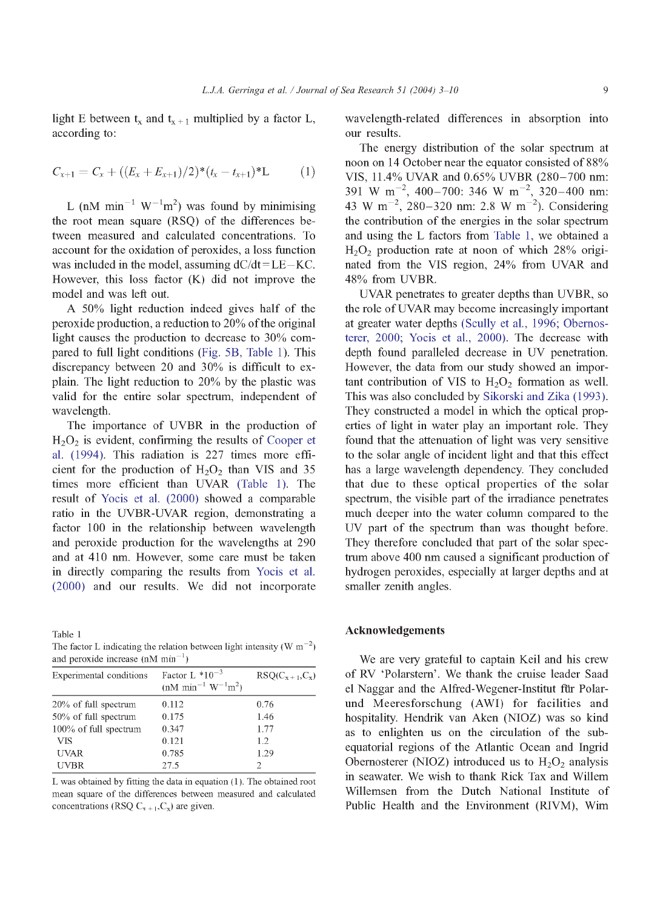light E between  $t_x$  and  $t_{x+1}$  multiplied by a factor L, according to:

$$
C_{x+1} = C_x + ((E_x + E_{x+1})/2)^*(t_x - t_{x+1})^*L \tag{1}
$$

L (nM min<sup>-1</sup> W<sup>-1</sup>m<sup>2</sup>) was found by minimising the root mean square (RSQ) of the differences between measured and calculated concentrations. To account for the oxidation of peroxides, a loss function was included in the model, assuming  $dC/dt = LE - KC$ . However, this loss factor (K) did not improve the model and was left out.

A 50% light reduction indeed gives half of the peroxide production, a reduction to 20% of the original light causes the production to decrease to 30% compared to full light conditions (Fig. 5B, Table 1). This discrepancy between 20 and 30% is difficult to explain. The light reduction to 20% by the plastic was valid for the entire solar spectrum, independent of wavelength.

The importance of UVBR in the production of  $H<sub>2</sub>O<sub>2</sub>$  is evident, confirming the results of Cooper et al. (1994). This radiation is 227 times more efficient for the production of  $H_2O_2$  than VIS and 35 times more efficient than UVAR (Table 1). The result of Yocis et al. (2000) showed a comparable ratio in the UVBR-UVAR region, demonstrating a factor 100 in the relationship between wavelength and peroxide production for the wavelengths at 290 and at 410 nm. However, some care must be taken in directly comparing the results from Yocis et al. (2000) and oiu results. We did not incorporate

**Table 1** The factor L indicating the relation between light intensity ( $\text{W m}^{-2}$ ) and peroxide increase  $(nM \text{ min}^{-1})$ 

| Experimental conditions | Factor L $*10^{-3}$<br>$(nM \text{ min}^{-1} \text{ W}^{-1} \text{m}^2)$ | $RSQ(C_{x+1}, C_x)$ |
|-------------------------|--------------------------------------------------------------------------|---------------------|
| 20% of full spectrum    | 0.112                                                                    | 0.76                |
| 50% of full spectrum    | 0.175                                                                    | 1.46                |
| 100% of full spectrum   | 0.347                                                                    | 1.77                |
| <b>VIS</b>              | 0.121                                                                    | 1.2                 |
| <b>UVAR</b>             | 0.785                                                                    | 1.29                |
| <b>UVBR</b>             | 27.5                                                                     | 2                   |
|                         |                                                                          |                     |

**L was obtained by fitting the data in equation ( 1 ). The obtained root mean square of the differences between measured and calculated** concentrations (RSQ  $C_{x+1}, C_x$ ) are given.

wavelength-related differences in absorption into our results.

The energy distribution of the solar spectrum at noon on 14 October near the equator consisted of 88% VIS, 11.4% UVAR and 0.65% UVBR (280-700 nm: 391 W m<sup>-2</sup>, 400-700: 346 W m<sup>-2</sup>, 320-400 nm: 43 W m<sup>-2</sup>, 280-320 nm: 2.8 W m<sup>-2</sup>). Considering the contribution of the energies in the solar spectrum and using the L factors from Table 1, we obtained a  $H<sub>2</sub>O<sub>2</sub>$  production rate at noon of which 28% originated from the VIS region, 24% from UVAR and 48% from UVBR.

UVAR penetrates to greater depths than UVBR, so the role of UVAR may become increasingly important at greater water depths (Scully et al., 1996; Obemosterer, 2000; Yocis et al., 2000). The decrease with depth found paralleled decrease in UV penetration. However, the data from our study showed an important contribution of VIS to  $H_2O_2$  formation as well. This was also concluded by Sikorski and Zika (1993 ). They constructed a model in which the optical properties of light in water play an important role. They found that the attenuation of light was very sensitive to the solar angle of incident light and that this effect has a large wavelength dependency. They concluded that due to these optical properties of the solar spectrum, the visible part of the irradiance penetrates much deeper into the water column compared to the UV part of the spectrum than was thought before. They therefore concluded that part of the solar spectrum above 400 nm caused a significant production of hydrogen peroxides, especially at larger depths and at smaller zenith angles.

## **Acknowledgements**

We are very grateful to captain Keil and his crew of RV 'Polarstem'. We thank the cruise leader Saad el Naggar and the Alfred-Wegener-Institut fur Polarund Meeresforschung (AWI) for facilities and hospitality. Hendrik van Aken (NIOZ) was so kind as to enlighten us on the circulation of the subequatorial regions of the Atlantic Ocean and Ingrid Obernosterer (NIOZ) introduced us to  $H_2O_2$  analysis in seawater. We wish to thank Rick Tax and Willem Willemsen from the Dutch National Institute of Public Health and the Environment (RIVM), Wim